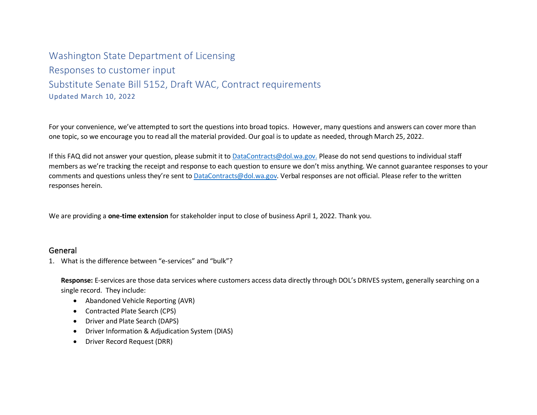# Washington State Department of Licensing Responses to customer input Substitute Senate Bill 5152, Draft WAC, Contract requirements Updated March 10, 2022

For your convenience, we've attempted to sort the questions into broad topics. However, many questions and answers can cover more than one topic, so we encourage you to read all the material provided. Our goal is to update as needed, through March 25, 2022.

If this FAQ did not answer your question, please submit it t[o DataContracts@dol.wa.gov.](mailto:DataContracts@dol.wa.gov) Please do not send questions to individual staff members as we're tracking the receipt and response to each question to ensure we don't miss anything. We cannot guarantee responses to your comments and questions unless they're sent to [DataContracts@dol.wa.gov.](mailto:DataContracts@dol.wa.gov) Verbal responses are not official. Please refer to the written responses herein.

We are providing a **one-time extension** for stakeholder input to close of business April 1, 2022. Thank you.

### General

1. What is the difference between "e-services" and "bulk"?

**Response:** E-services are those data services where customers access data directly through DOL's DRIVES system, generally searching on a single record. They include:

- Abandoned Vehicle Reporting (AVR)
- Contracted Plate Search (CPS)
- Driver and Plate Search (DAPS)
- Driver Information & Adjudication System (DIAS)
- Driver Record Request (DRR)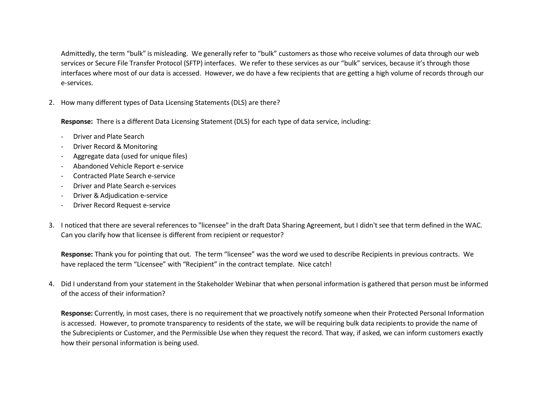Admittedly, the term "bulk" is misleading. We generally refer to "bulk" customers as those who receive volumes of data through our web services or Secure File Transfer Protocol (SFTP) interfaces. We refer to these services as our "bulk" services, because it's through those interfaces where most of our data is accessed. However, we do have a few recipients that are getting a high volume of records through our e-services.

2. How many different types of Data Licensing Statements (DLS) are there?

**Response:** There is a different Data Licensing Statement (DLS) for each type of data service, including:

- Driver and Plate Search
- Driver Record & Monitoring
- Aggregate data (used for unique files)
- Abandoned Vehicle Report e-service
- Contracted Plate Search e-service
- Driver and Plate Search e-services
- Driver & Adjudication e-service
- Driver Record Request e-service
- 3. I noticed that there are several references to "licensee" in the draft Data Sharing Agreement, but I didn't see that term defined in the WAC. Can you clarify how that licensee is different from recipient or requestor?

**Response:** Thank you for pointing that out. The term "licensee" was the word we used to describe Recipients in previous contracts. We have replaced the term "Licensee" with "Recipient" in the contract template. Nice catch!

4. Did I understand from your statement in the Stakeholder Webinar that when personal information is gathered that person must be informed of the access of their information?

**Response:** Currently, in most cases, there is no requirement that we proactively notify someone when their Protected Personal Information is accessed. However, to promote transparency to residents of the state, we will be requiring bulk data recipients to provide the name of the Subrecipients or Customer, and the Permissible Use when they request the record. That way, if asked, we can inform customers exactly how their personal information is being used.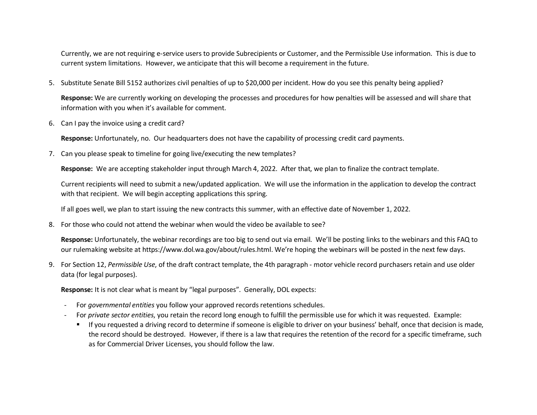Currently, we are not requiring e-service users to provide Subrecipients or Customer, and the Permissible Use information. This is due to current system limitations. However, we anticipate that this will become a requirement in the future.

5. Substitute Senate Bill 5152 authorizes civil penalties of up to \$20,000 per incident. How do you see this penalty being applied?

**Response:** We are currently working on developing the processes and procedures for how penalties will be assessed and will share that information with you when it's available for comment.

6. Can I pay the invoice using a credit card?

**Response:** Unfortunately, no. Our headquarters does not have the capability of processing credit card payments.

7. Can you please speak to timeline for going live/executing the new templates?

**Response:** We are accepting stakeholder input through March 4, 2022. After that, we plan to finalize the contract template.

Current recipients will need to submit a new/updated application. We will use the information in the application to develop the contract with that recipient. We will begin accepting applications this spring.

If all goes well, we plan to start issuing the new contracts this summer, with an effective date of November 1, 2022.

8. For those who could not attend the webinar when would the video be available to see?

**Response:** Unfortunately, the webinar recordings are too big to send out via email. We'll be posting links to the webinars and this FAQ to our rulemaking website at https://www.dol.wa.gov/about/rules.html. We're hoping the webinars will be posted in the next few days.

9. For Section 12, *Permissible Use*, of the draft contract template, the 4th paragraph - motor vehicle record purchasers retain and use older data (for legal purposes).

**Response:** It is not clear what is meant by "legal purposes". Generally, DOL expects:

- For *governmental entities* you follow your approved records retentions schedules.
- For *private sector entities*, you retain the record long enough to fulfill the permissible use for which it was requested. Example:
	- If you requested a driving record to determine if someone is eligible to driver on your business' behalf, once that decision is made, the record should be destroyed. However, if there is a law that requires the retention of the record for a specific timeframe, such as for Commercial Driver Licenses, you should follow the law.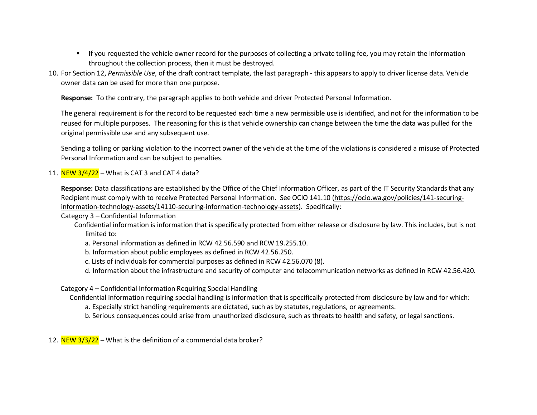- If you requested the vehicle owner record for the purposes of collecting a private tolling fee, you may retain the information throughout the collection process, then it must be destroyed.
- 10. For Section 12, *Permissible Use*, of the draft contract template, the last paragraph this appears to apply to driver license data. Vehicle owner data can be used for more than one purpose.

**Response:** To the contrary, the paragraph applies to both vehicle and driver Protected Personal Information.

The general requirement is for the record to be requested each time a new permissible use is identified, and not for the information to be reused for multiple purposes. The reasoning for this is that vehicle ownership can change between the time the data was pulled for the original permissible use and any subsequent use.

Sending a tolling or parking violation to the incorrect owner of the vehicle at the time of the violations is considered a misuse of Protected Personal Information and can be subject to penalties.

#### 11. NEW  $3/4/22$  – What is CAT 3 and CAT 4 data?

**Response:** Data classifications are established by the Office of the Chief Information Officer, as part of the IT Security Standards that any Recipient must comply with to receive Protected Personal Information. See OCIO 141.10 [\(https://ocio.wa.gov/policies/141-securing](https://ocio.wa.gov/policies/141-securing-information-technology-assets/14110-securing-information-technology-assets)[information-technology-assets/14110-securing-information-technology-assets\)](https://ocio.wa.gov/policies/141-securing-information-technology-assets/14110-securing-information-technology-assets). Specifically:

Category 3 – Confidential Information

- Confidential information is information that is specifically protected from either release or disclosure by law. This includes, but is not limited to:
	- a. Personal information as defined in RCW 42.56.590 and RCW 19.255.10.
	- b. Information about public employees as defined in RCW 42.56.250.
	- c. Lists of individuals for commercial purposes as defined in RCW 42.56.070 (8).
	- d. Information about the infrastructure and security of computer and telecommunication networks as defined in RCW 42.56.420.

#### Category 4 – Confidential Information Requiring Special Handling

Confidential information requiring special handling is information that is specifically protected from disclosure by law and for which:

- a. Especially strict handling requirements are dictated, such as by statutes, regulations, or agreements.
- b. Serious consequences could arise from unauthorized disclosure, such as threats to health and safety, or legal sanctions.

12. NEW  $3/3/22$  – What is the definition of a commercial data broker?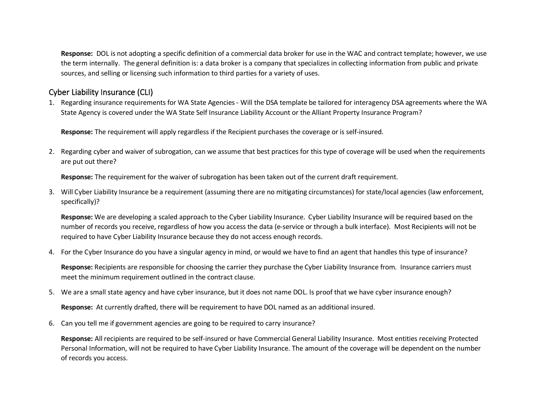**Response:** DOL is not adopting a specific definition of a commercial data broker for use in the WAC and contract template; however, we use the term internally. The general definition is: a data broker is a [company](https://en.wikipedia.org/wiki/Company) that specializes in collecting [information](https://en.wikipedia.org/wiki/Personal_data) from [public and private](https://en.wikipedia.org/wiki/Public_records)  [sources,](https://en.wikipedia.org/wiki/Public_records) and selling or licensing such information to third parties for a variety of uses.

## Cyber Liability Insurance (CLI)

1. Regarding insurance requirements for WA State Agencies - Will the DSA template be tailored for interagency DSA agreements where the WA State Agency is covered under the WA State Self Insurance Liability Account or the Alliant Property Insurance Program?

**Response:** The requirement will apply regardless if the Recipient purchases the coverage or is self-insured.

2. Regarding cyber and waiver of subrogation, can we assume that best practices for this type of coverage will be used when the requirements are put out there?

**Response:** The requirement for the waiver of subrogation has been taken out of the current draft requirement.

3. Will Cyber Liability Insurance be a requirement (assuming there are no mitigating circumstances) for state/local agencies (law enforcement, specifically)?

**Response:** We are developing a scaled approach to the Cyber Liability Insurance. Cyber Liability Insurance will be required based on the number of records you receive, regardless of how you access the data (e-service or through a bulk interface). Most Recipients will not be required to have Cyber Liability Insurance because they do not access enough records.

4. For the Cyber Insurance do you have a singular agency in mind, or would we have to find an agent that handles this type of insurance?

**Response:** Recipients are responsible for choosing the carrier they purchase the Cyber Liability Insurance from. Insurance carriers must meet the minimum requirement outlined in the contract clause.

5. We are a small state agency and have cyber insurance, but it does not name DOL. Is proof that we have cyber insurance enough?

**Response:** At currently drafted, there will be requirement to have DOL named as an additional insured.

6. Can you tell me if government agencies are going to be required to carry insurance?

**Response:** All recipients are required to be self-insured or have Commercial General Liability Insurance. Most entities receiving Protected Personal Information, will not be required to have Cyber Liability Insurance. The amount of the coverage will be dependent on the number of records you access.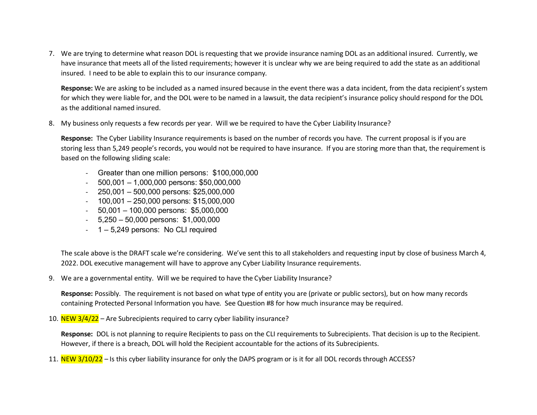7. We are trying to determine what reason DOL is requesting that we provide insurance naming DOL as an additional insured. Currently, we have insurance that meets all of the listed requirements; however it is unclear why we are being required to add the state as an additional insured. I need to be able to explain this to our insurance company.

**Response:** We are asking to be included as a named insured because in the event there was a data incident, from the data recipient's system for which they were liable for, and the DOL were to be named in a lawsuit, the data recipient's insurance policy should respond for the DOL as the additional named insured.

8. My business only requests a few records per year. Will we be required to have the Cyber Liability Insurance?

**Response:** The Cyber Liability Insurance requirements is based on the number of records you have. The current proposal is if you are storing less than 5,249 people's records, you would not be required to have insurance. If you are storing more than that, the requirement is based on the following sliding scale:

- Greater than one million persons: \$100,000,000
- $-$  500,001 1,000,000 persons: \$50,000,000
- $-$  250,001 500,000 persons: \$25,000,000
- $-100,001 250,000$  persons: \$15,000,000
- 50,001 100,000 persons: \$5,000,000
- 5,250 50,000 persons: \$1,000,000
- 1 5,249 persons: No CLI required

The scale above is the DRAFT scale we're considering. We've sent this to all stakeholders and requesting input by close of business March 4, 2022. DOL executive management will have to approve any Cyber Liability Insurance requirements.

9. We are a governmental entity. Will we be required to have the Cyber Liability Insurance?

**Response:** Possibly. The requirement is not based on what type of entity you are (private or public sectors), but on how many records containing Protected Personal Information you have. See Question #8 for how much insurance may be required.

10.  $NEW$  3/4/22 – Are Subrecipients required to carry cyber liability insurance?

**Response:** DOL is not planning to require Recipients to pass on the CLI requirements to Subrecipients. That decision is up to the Recipient. However, if there is a breach, DOL will hold the Recipient accountable for the actions of its Subrecipients.

11. NEW 3/10/22 – Is this cyber liability insurance for only the DAPS program or is it for all DOL records through ACCESS?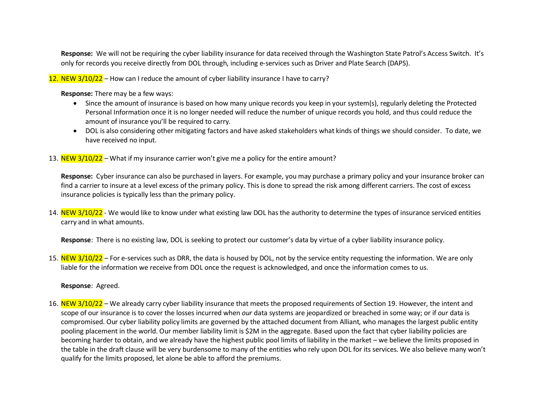**Response:** We will not be requiring the cyber liability insurance for data received through the Washington State Patrol's Access Switch. It's only for records you receive directly from DOL through, including e-services such as Driver and Plate Search (DAPS).

12. NEW  $3/10/22$  – How can I reduce the amount of cyber liability insurance I have to carry?

**Response:** There may be a few ways:

- Since the amount of insurance is based on how many unique records you keep in your system(s), regularly deleting the Protected Personal Information once it is no longer needed will reduce the number of unique records you hold, and thus could reduce the amount of insurance you'll be required to carry.
- DOL is also considering other mitigating factors and have asked stakeholders what kinds of things we should consider. To date, we have received no input.
- 13. NEW  $3/10/22$  What if my insurance carrier won't give me a policy for the entire amount?

**Response:** Cyber insurance can also be purchased in layers. For example, you may purchase a primary policy and your insurance broker can find a carrier to insure at a level excess of the primary policy. This is done to spread the risk among different carriers. The cost of excess insurance policies is typically less than the primary policy.

14. NEW 3/10/22 - We would like to know under what existing law DOL has the authority to determine the types of insurance serviced entities carry and in what amounts.

**Response**: There is no existing law, DOL is seeking to protect our customer's data by virtue of a cyber liability insurance policy.

15. NEW 3/10/22 – For e-services such as DRR, the data is housed by DOL, not by the service entity requesting the information. We are only liable for the information we receive from DOL once the request is acknowledged, and once the information comes to us.

**Response**: Agreed.

16. NEW 3/10/22 – We already carry cyber liability insurance that meets the proposed requirements of Section 19. However, the intent and scope of our insurance is to cover the losses incurred when *our* data systems are jeopardized or breached in some way; or if *our* data is compromised. Our cyber liability policy limits are governed by the attached document from Alliant, who manages the largest public entity pooling placement in the world. Our member liability limit is \$2M in the aggregate. Based upon the fact that cyber liability policies are becoming harder to obtain, and we already have the highest public pool limits of liability in the market – we believe the limits proposed in the table in the draft clause will be very burdensome to many of the entities who rely upon DOL for its services. We also believe many won't qualify for the limits proposed, let alone be able to afford the premiums.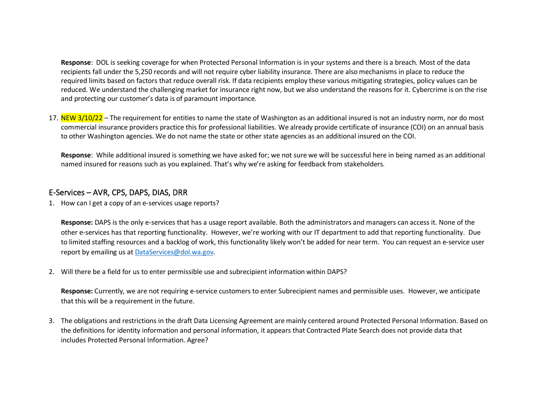**Response**: DOL is seeking coverage for when Protected Personal Information is in your systems and there is a breach. Most of the data recipients fall under the 5,250 records and will not require cyber liability insurance. There are also mechanisms in place to reduce the required limits based on factors that reduce overall risk. If data recipients employ these various mitigating strategies, policy values can be reduced. We understand the challenging market for insurance right now, but we also understand the reasons for it. Cybercrime is on the rise and protecting our customer's data is of paramount importance.

17. NEW 3/10/22 – The requirement for entities to name the state of Washington as an additional insured is not an industry norm, nor do most commercial insurance providers practice this for professional liabilities. We already provide certificate of insurance (COI) on an annual basis to other Washington agencies. We do not name the state or other state agencies as an additional insured on the COI.

**Response**: While additional insured is something we have asked for; we not sure we will be successful here in being named as an additional named insured for reasons such as you explained. That's why we're asking for feedback from stakeholders.

### E-Services – AVR, CPS, DAPS, DIAS, DRR

1. How can I get a copy of an e-services usage reports?

**Response:** DAPS is the only e-services that has a usage report available. Both the administrators and managers can access it. None of the other e-services has that reporting functionality. However, we're working with our IT department to add that reporting functionality. Due to limited staffing resources and a backlog of work, this functionality likely won't be added for near term. You can request an e-service user report by emailing us a[t DataServices@dol.wa.gov.](mailto:DataServices@dol.wa.gov)

2. Will there be a field for us to enter permissible use and subrecipient information within DAPS?

**Response:** Currently, we are not requiring e-service customers to enter Subrecipient names and permissible uses. However, we anticipate that this will be a requirement in the future.

3. The obligations and restrictions in the draft Data Licensing Agreement are mainly centered around Protected Personal Information. Based on the definitions for identity information and personal information, it appears that Contracted Plate Search does not provide data that includes Protected Personal Information. Agree?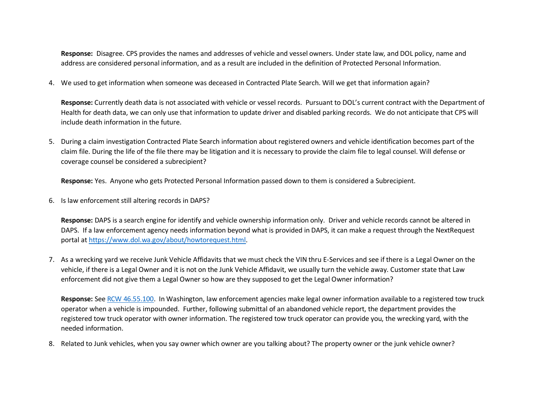**Response:** Disagree. CPS provides the names and addresses of vehicle and vessel owners. Under state law, and DOL policy, name and address are considered personal information, and as a result are included in the definition of Protected Personal Information.

4. We used to get information when someone was deceased in Contracted Plate Search. Will we get that information again?

**Response:** Currently death data is not associated with vehicle or vessel records. Pursuant to DOL's current contract with the Department of Health for death data, we can only use that information to update driver and disabled parking records. We do not anticipate that CPS will include death information in the future.

5. During a claim investigation Contracted Plate Search information about registered owners and vehicle identification becomes part of the claim file. During the life of the file there may be litigation and it is necessary to provide the claim file to legal counsel. Will defense or coverage counsel be considered a subrecipient?

**Response:** Yes. Anyone who gets Protected Personal Information passed down to them is considered a Subrecipient.

6. Is law enforcement still altering records in DAPS?

**Response:** DAPS is a search engine for identify and vehicle ownership information only. Driver and vehicle records cannot be altered in DAPS. If a law enforcement agency needs information beyond what is provided in DAPS, it can make a request through the NextRequest portal at [https://www.dol.wa.gov/about/howtorequest.html.](https://www.dol.wa.gov/about/howtorequest.html)

7. As a wrecking yard we receive Junk Vehicle Affidavits that we must check the VIN thru E-Services and see if there is a Legal Owner on the vehicle, if there is a Legal Owner and it is not on the Junk Vehicle Affidavit, we usually turn the vehicle away. Customer state that Law enforcement did not give them a Legal Owner so how are they supposed to get the Legal Owner information?

**Response:** See [RCW 46.55.100.](https://app.leg.wa.gov/rcw/default.aspx?cite=46.55.100) In Washington, law enforcement agencies make legal owner information available to a registered tow truck operator when a vehicle is impounded. Further, following submittal of an abandoned vehicle report, the department provides the registered tow truck operator with owner information. The registered tow truck operator can provide you, the wrecking yard, with the needed information.

8. Related to Junk vehicles, when you say owner which owner are you talking about? The property owner or the junk vehicle owner?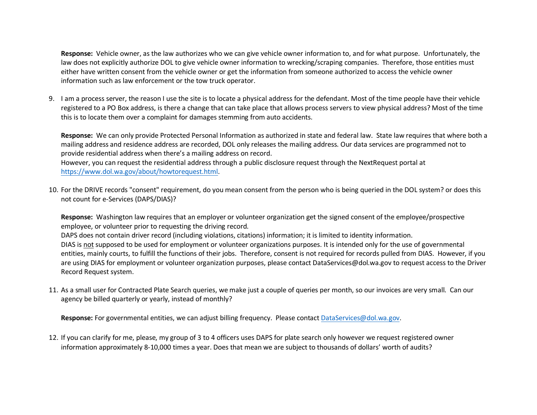**Response:** Vehicle owner, as the law authorizes who we can give vehicle owner information to, and for what purpose. Unfortunately, the law does not explicitly authorize DOL to give vehicle owner information to wrecking/scraping companies. Therefore, those entities must either have written consent from the vehicle owner or get the information from someone authorized to access the vehicle owner information such as law enforcement or the tow truck operator.

9. I am a process server, the reason I use the site is to locate a physical address for the defendant. Most of the time people have their vehicle registered to a PO Box address, is there a change that can take place that allows process servers to view physical address? Most of the time this is to locate them over a complaint for damages stemming from auto accidents.

**Response:** We can only provide Protected Personal Information as authorized in state and federal law. State law requires that where both a mailing address and residence address are recorded, DOL only releases the mailing address. Our data services are programmed not to provide residential address when there's a mailing address on record.

However, you can request the residential address through a public disclosure request through the NextRequest portal at [https://www.dol.wa.gov/about/howtorequest.html.](https://www.dol.wa.gov/about/howtorequest.html)

10. For the DRIVE records "consent" requirement, do you mean consent from the person who is being queried in the DOL system? or does this not count for e-Services (DAPS/DIAS)?

**Response:** Washington law requires that an employer or volunteer organization get the signed consent of the employee/prospective employee, or volunteer prior to requesting the driving record.

DAPS does not contain driver record (including violations, citations) information; it is limited to identity information. DIAS is not supposed to be used for employment or volunteer organizations purposes. It is intended only for the use of governmental entities, mainly courts, to fulfill the functions of their jobs. Therefore, consent is not required for records pulled from DIAS. However, if you are using DIAS for employment or volunteer organization purposes, please contact DataServices@dol.wa.gov to request access to the Driver Record Request system.

11. As a small user for Contracted Plate Search queries, we make just a couple of queries per month, so our invoices are very small. Can our agency be billed quarterly or yearly, instead of monthly?

**Response:** For governmental entities, we can adjust billing frequency. Please contac[t DataServices@dol.wa.gov.](mailto:DataServices@dol.wa.gov)

12. If you can clarify for me, please, my group of 3 to 4 officers uses DAPS for plate search only however we request registered owner information approximately 8-10,000 times a year. Does that mean we are subject to thousands of dollars' worth of audits?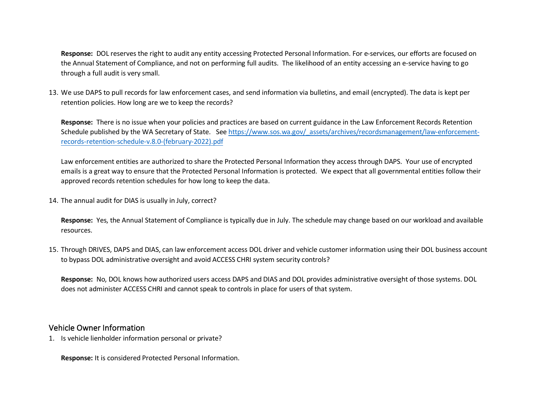**Response:** DOL reserves the right to audit any entity accessing Protected Personal Information. For e-services, our efforts are focused on the Annual Statement of Compliance, and not on performing full audits. The likelihood of an entity accessing an e-service having to go through a full audit is very small.

13. We use DAPS to pull records for law enforcement cases, and send information via bulletins, and email (encrypted). The data is kept per retention policies. How long are we to keep the records?

**Response:** There is no issue when your policies and practices are based on current guidance in the Law Enforcement Records Retention Schedule published by the WA Secretary of State. See https://www.sos.wa.gov/ assets/archives/recordsmanagement/law-enforcement[records-retention-schedule-v.8.0-\(february-2022\).pdf](https://www.sos.wa.gov/_assets/archives/recordsmanagement/law-enforcement-records-retention-schedule-v.8.0-(february-2022).pdf)

Law enforcement entities are authorized to share the Protected Personal Information they access through DAPS. Your use of encrypted emails is a great way to ensure that the Protected Personal Information is protected. We expect that all governmental entities follow their approved records retention schedules for how long to keep the data.

14. The annual audit for DIAS is usually in July, correct?

**Response:** Yes, the Annual Statement of Compliance is typically due in July. The schedule may change based on our workload and available resources.

15. Through DRIVES, DAPS and DIAS, can law enforcement access DOL driver and vehicle customer information using their DOL business account to bypass DOL administrative oversight and avoid ACCESS CHRI system security controls?

**Response:** No, DOL knows how authorized users access DAPS and DIAS and DOL provides administrative oversight of those systems. DOL does not administer ACCESS CHRI and cannot speak to controls in place for users of that system.

#### Vehicle Owner Information

1. Is vehicle lienholder information personal or private?

**Response:** It is considered Protected Personal Information.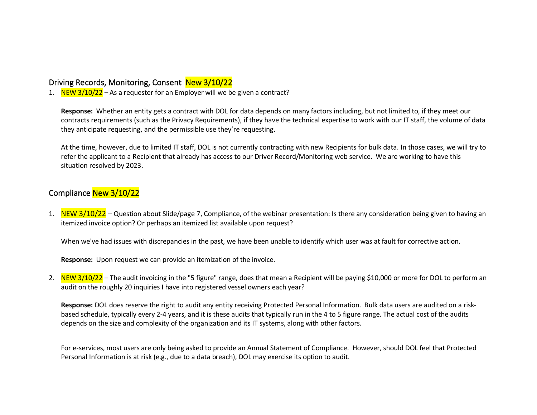### Driving Records, Monitoring, Consent New 3/10/22

1. NEW  $3/10/22$  – As a requester for an Employer will we be given a contract?

**Response:** Whether an entity gets a contract with DOL for data depends on many factors including, but not limited to, if they meet our contracts requirements (such as the Privacy Requirements), if they have the technical expertise to work with our IT staff, the volume of data they anticipate requesting, and the permissible use they're requesting.

At the time, however, due to limited IT staff, DOL is not currently contracting with new Recipients for bulk data. In those cases, we will try to refer the applicant to a Recipient that already has access to our Driver Record/Monitoring web service. We are working to have this situation resolved by 2023.

## Compliance New 3/10/22

1. NEW 3/10/22 – Question about Slide/page 7, Compliance, of the webinar presentation: Is there any consideration being given to having an itemized invoice option? Or perhaps an itemized list available upon request?

When we've had issues with discrepancies in the past, we have been unable to identify which user was at fault for corrective action.

**Response:** Upon request we can provide an itemization of the invoice.

2. NEW 3/10/22 – The audit invoicing in the "5 figure" range, does that mean a Recipient will be paying \$10,000 or more for DOL to perform an audit on the roughly 20 inquiries I have into registered vessel owners each year?

**Response:** DOL does reserve the right to audit any entity receiving Protected Personal Information. Bulk data users are audited on a riskbased schedule, typically every 2-4 years, and it is these audits that typically run in the 4 to 5 figure range. The actual cost of the audits depends on the size and complexity of the organization and its IT systems, along with other factors.

For e-services, most users are only being asked to provide an Annual Statement of Compliance. However, should DOL feel that Protected Personal Information is at risk (e.g., due to a data breach), DOL may exercise its option to audit.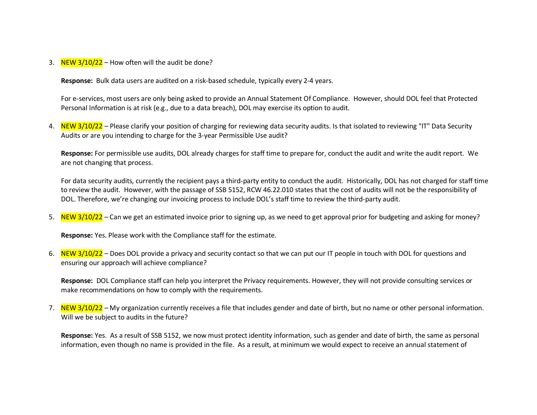3. NEW  $3/10/22$  – How often will the audit be done?

**Response:** Bulk data users are audited on a risk-based schedule, typically every 2-4 years.

For e-services, most users are only being asked to provide an Annual Statement Of Compliance. However, should DOL feel that Protected Personal Information is at risk (e.g., due to a data breach), DOL may exercise its option to audit.

4. NEW 3/10/22 - Please clarify your position of charging for reviewing data security audits. Is that isolated to reviewing "IT" Data Security Audits or are you intending to charge for the 3-year Permissible Use audit?

**Response:** For permissible use audits, DOL already charges for staff time to prepare for, conduct the audit and write the audit report. We are not changing that process.

For data security audits, currently the recipient pays a third-party entity to conduct the audit. Historically, DOL has not charged for staff time to review the audit. However, with the passage of SSB 5152, RCW 46.22.010 states that the cost of audits will not be the responsibility of DOL. Therefore, we're changing our invoicing process to include DOL's staff time to review the third-party audit.

5. NEW 3/10/22 – Can we get an estimated invoice prior to signing up, as we need to get approval prior for budgeting and asking for money?

**Response:** Yes. Please work with the Compliance staff for the estimate.

6. NEW 3/10/22 – Does DOL provide a privacy and security contact so that we can put our IT people in touch with DOL for questions and ensuring our approach will achieve compliance?

**Response:** DOL Compliance staff can help you interpret the Privacy requirements. However, they will not provide consulting services or make recommendations on how to comply with the requirements.

7. NEW 3/10/22 – My organization currently receives a file that includes gender and date of birth, but no name or other personal information. Will we be subject to audits in the future?

**Response:** Yes. As a result of SSB 5152, we now must protect identity information, such as gender and date of birth, the same as personal information, even though no name is provided in the file. As a result, at minimum we would expect to receive an annual statement of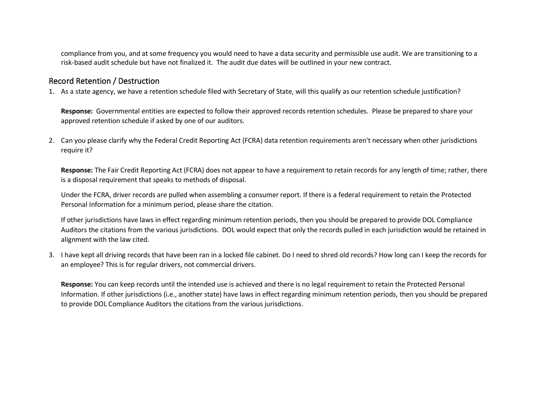compliance from you, and at some frequency you would need to have a data security and permissible use audit. We are transitioning to a risk-based audit schedule but have not finalized it. The audit due dates will be outlined in your new contract.

#### Record Retention / Destruction

1. As a state agency, we have a retention schedule filed with Secretary of State, will this qualify as our retention schedule justification?

**Response:** Governmental entities are expected to follow their approved records retention schedules. Please be prepared to share your approved retention schedule if asked by one of our auditors.

2. Can you please clarify why the Federal Credit Reporting Act (FCRA) data retention requirements aren't necessary when other jurisdictions require it?

**Response:** The Fair Credit Reporting Act (FCRA) does not appear to have a requirement to retain records for any length of time; rather, there is a disposal requirement that speaks to methods of disposal.

Under the FCRA, driver records are pulled when assembling a consumer report. If there is a federal requirement to retain the Protected Personal Information for a minimum period, please share the citation.

If other jurisdictions have laws in effect regarding minimum retention periods, then you should be prepared to provide DOL Compliance Auditors the citations from the various jurisdictions. DOL would expect that only the records pulled in each jurisdiction would be retained in alignment with the law cited.

3. I have kept all driving records that have been ran in a locked file cabinet. Do I need to shred old records? How long can I keep the records for an employee? This is for regular drivers, not commercial drivers.

**Response:** You can keep records until the intended use is achieved and there is no legal requirement to retain the Protected Personal Information. If other jurisdictions (i.e., another state) have laws in effect regarding minimum retention periods, then you should be prepared to provide DOL Compliance Auditors the citations from the various jurisdictions.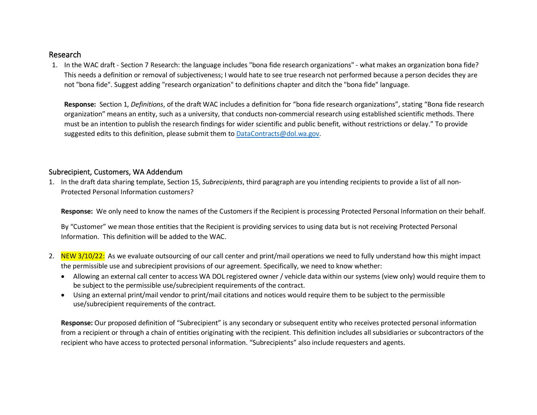### Research

1. In the WAC draft - Section 7 Research: the language includes "bona fide research organizations" - what makes an organization bona fide? This needs a definition or removal of subjectiveness; I would hate to see true research not performed because a person decides they are not "bona fide". Suggest adding "research organization" to definitions chapter and ditch the "bona fide" language.

**Response:** Section 1, *Definitions*, of the draft WAC includes a definition for "bona fide research organizations", stating "Bona fide research organization" means an entity, such as a university, that conducts non-commercial research using established scientific methods. There must be an intention to publish the research findings for wider scientific and public benefit, without restrictions or delay." To provide suggested edits to this definition, please submit them t[o DataContracts@dol.wa.gov.](mailto:DataContracts@dol.wa.gov)

#### Subrecipient, Customers, WA Addendum

1. In the draft data sharing template, Section 15, *Subrecipients*, third paragraph are you intending recipients to provide a list of all non-Protected Personal Information customers?

**Response:** We only need to know the names of the Customers if the Recipient is processing Protected Personal Information on their behalf.

By "Customer" we mean those entities that the Recipient is providing services to using data but is not receiving Protected Personal Information. This definition will be added to the WAC.

- 2. NEW 3/10/22: As we evaluate outsourcing of our call center and print/mail operations we need to fully understand how this might impact the permissible use and subrecipient provisions of our agreement. Specifically, we need to know whether:
	- Allowing an external call center to access WA DOL registered owner / vehicle data within our systems (view only) would require them to be subject to the permissible use/subrecipient requirements of the contract.
	- Using an external print/mail vendor to print/mail citations and notices would require them to be subject to the permissible use/subrecipient requirements of the contract.

**Response:** Our proposed definition of "Subrecipient" is any secondary or subsequent entity who receives protected personal information from a recipient or through a chain of entities originating with the recipient. This definition includes all subsidiaries or subcontractors of the recipient who have access to protected personal information. "Subrecipients" also include requesters and agents.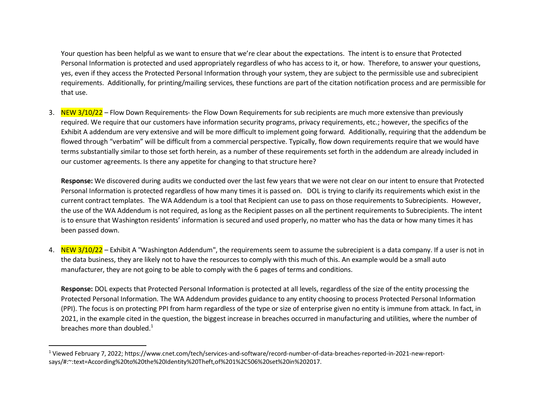<span id="page-15-0"></span>Your question has been helpful as we want to ensure that we're clear about the expectations. The intent is to ensure that Protected Personal Information is protected and used appropriately regardless of who has access to it, or how. Therefore, to answer your questions, yes, even if they access the Protected Personal Information through your system, they are subject to the permissible use and subrecipient requirements. Additionally, for printing/mailing services, these functions are part of the citation notification process and are permissible for that use.

3. NEW 3/10/22 – Flow Down Requirements- the Flow Down Requirements for sub recipients are much more extensive than previously required. We require that our customers have information security programs, privacy requirements, etc.; however, the specifics of the Exhibit A addendum are very extensive and will be more difficult to implement going forward. Additionally, requiring that the addendum be flowed through "verbatim" will be difficult from a commercial perspective. Typically, flow down requirements require that we would have terms substantially similar to those set forth herein, as a number of these requirements set forth in the addendum are already included in our customer agreements. Is there any appetite for changing to that structure here?

**Response:** We discovered during audits we conducted over the last few years that we were not clear on our intent to ensure that Protected Personal Information is protected regardless of how many times it is passed on. DOL is trying to clarify its requirements which exist in the current contract templates. The WA Addendum is a tool that Recipient can use to pass on those requirements to Subrecipients. However, the use of the WA Addendum is not required, as long as the Recipient passes on all the pertinent requirements to Subrecipients. The intent is to ensure that Washington residents' information is secured and used properly, no matter who has the data or how many times it has been passed down.

4. NEW 3/10/22 – Exhibit A "Washington Addendum", the requirements seem to assume the subrecipient is a data company. If a user is not in the data business, they are likely not to have the resources to comply with this much of this. An example would be a small auto manufacturer, they are not going to be able to comply with the 6 pages of terms and conditions.

**Response:** DOL expects that Protected Personal Information is protected at all levels, regardless of the size of the entity processing the Protected Personal Information. The WA Addendum provides guidance to any entity choosing to process Protected Personal Information (PPI). The focus is on protecting PPI from harm regardless of the type or size of enterprise given no entity is immune from attack. In fact, in 2021, in the example cited in the question, the biggest increase in breaches occurred in manufacturing and utilities, where the number of breaches more than doubled. $1$ 

<sup>1</sup> Viewed February 7, 2022; https://www.cnet.com/tech/services-and-software/record-number-of-data-breaches-reported-in-2021-new-reportsays/#:~:text=According%20to%20the%20Identity%20Theft,of%201%2C506%20set%20in%202017.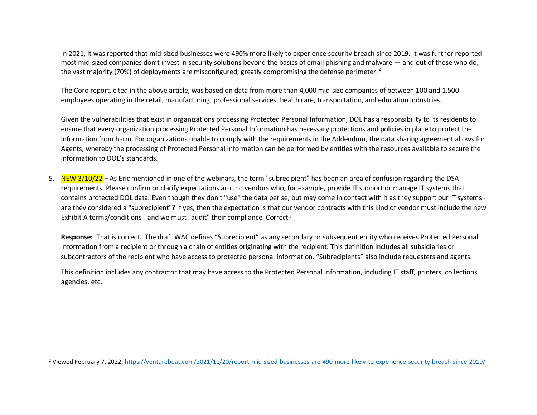<span id="page-16-0"></span>In 2021, it was reported that mid-sized businesses were 490% more likely to experience security breach since 2019. It was further reported most mid-sized companies don't invest in security solutions beyond the basics of email phishing and malware — and out of those who do, the vast majority (70%) of deployments are misconfigured, greatly compromising the defense perimeter.<sup>[2](#page-16-0)</sup>

The Coro report, cited in the above article, was based on data from more than 4,000 mid-size companies of between 100 and 1,500 employees operating in the retail, manufacturing, professional services, health care, transportation, and education industries.

Given the vulnerabilities that exist in organizations processing Protected Personal Information, DOL has a responsibility to its residents to ensure that every organization processing Protected Personal Information has necessary protections and policies in place to protect the information from harm. For organizations unable to comply with the requirements in the Addendum, the data sharing agreement allows for Agents, whereby the processing of Protected Personal Information can be performed by entities with the resources available to secure the information to DOL's standards.

5. NEW 3/10/22 – As Eric mentioned in one of the webinars, the term "subrecipient" has been an area of confusion regarding the DSA requirements. Please confirm or clarify expectations around vendors who, for example, provide IT support or manage IT systems that contains protected DOL data. Even though they don't "use" the data per se, but may come in contact with it as they support our IT systems are they considered a "subrecipient"? If yes, then the expectation is that our vendor contracts with this kind of vendor must include the new Exhibit A terms/conditions - and we must "audit" their compliance. Correct?

**Response:** That is correct. The draft WAC defines "Subrecipient" as any secondary or subsequent entity who receives Protected Personal Information from a recipient or through a chain of entities originating with the recipient. This definition includes all subsidiaries or subcontractors of the recipient who have access to protected personal information. "Subrecipients" also include requesters and agents.

This definition includes any contractor that may have access to the Protected Personal Information, including IT staff, printers, collections agencies, etc.

<sup>2</sup> Viewed February 7, 2022;<https://venturebeat.com/2021/11/20/report-mid-sized-businesses-are-490-more-likely-to-experience-security-breach-since-2019/>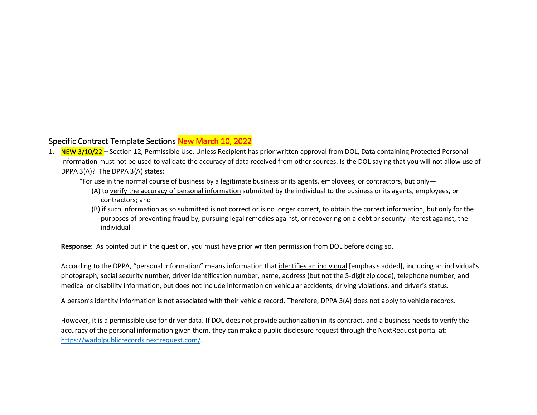## Specific Contract Template Sections New March 10, 2022

- 1. NEW 3/10/22 Section 12, Permissible Use. Unless Recipient has prior written approval from DOL, Data containing Protected Personal Information must not be used to validate the accuracy of data received from other sources. Is the DOL saying that you will not allow use of DPPA 3(A)? The DPPA 3(A) states:
	- "For use in the normal course of business by a legitimate business or its agents, employees, or contractors, but only—
		- (A) to verify the accuracy of personal information submitted by the individual to the business or its agents, employees, or contractors; and
		- (B) if such information as so submitted is not correct or is no longer correct, to obtain the correct information, but only for the purposes of preventing fraud by, pursuing legal remedies against, or recovering on a debt or security interest against, the individual

**Response:** As pointed out in the question, you must have prior written permission from DOL before doing so.

According to the DPPA, "personal information" means information that identifies an individual [emphasis added], including an individual's photograph, social security number, driver identification number, name, address (but not the 5-digit zip code), telephone number, and medical or disability information, but does not include information on vehicular accidents, driving violations, and driver's status.

A person's identity information is not associated with their vehicle record. Therefore, DPPA 3(A) does not apply to vehicle records.

However, it is a permissible use for driver data. If DOL does not provide authorization in its contract, and a business needs to verify the accuracy of the personal information given them, they can make a public disclosure request through the NextRequest portal at: [https://wadolpublicrecords.nextrequest.com/.](https://wadolpublicrecords.nextrequest.com/)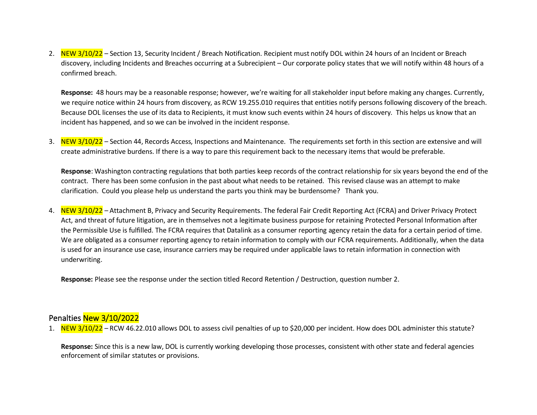2. NEW 3/10/22 – Section 13, Security Incident / Breach Notification. Recipient must notify DOL within 24 hours of an Incident or Breach discovery, including Incidents and Breaches occurring at a Subrecipient – Our corporate policy states that we will notify within 48 hours of a confirmed breach.

**Response:** 48 hours may be a reasonable response; however, we're waiting for all stakeholder input before making any changes. Currently, we require notice within 24 hours from discovery, as RCW 19.255.010 requires that entities notify persons following discovery of the breach. Because DOL licenses the use of its data to Recipients, it must know such events within 24 hours of discovery. This helps us know that an incident has happened, and so we can be involved in the incident response.

3. NEW 3/10/22 – Section 44, Records Access, Inspections and Maintenance. The requirements set forth in this section are extensive and will create administrative burdens. If there is a way to pare this requirement back to the necessary items that would be preferable.

**Response**: Washington contracting regulations that both parties keep records of the contract relationship for six years beyond the end of the contract. There has been some confusion in the past about what needs to be retained. This revised clause was an attempt to make clarification. Could you please help us understand the parts you think may be burdensome? Thank you.

4. NEW 3/10/22 – Attachment B, Privacy and Security Requirements. The federal Fair Credit Reporting Act (FCRA) and Driver Privacy Protect Act, and threat of future litigation, are in themselves not a legitimate business purpose for retaining Protected Personal Information after the Permissible Use is fulfilled. The FCRA requires that Datalink as a consumer reporting agency retain the data for a certain period of time. We are obligated as a consumer reporting agency to retain information to comply with our FCRA requirements. Additionally, when the data is used for an insurance use case, insurance carriers may be required under applicable laws to retain information in connection with underwriting.

**Response:** Please see the response under the section titled Record Retention / Destruction, question number 2.

## Penalties New 3/10/2022

1. NEW 3/10/22 – RCW 46.22.010 allows DOL to assess civil penalties of up to \$20,000 per incident. How does DOL administer this statute?

**Response:** Since this is a new law, DOL is currently working developing those processes, consistent with other state and federal agencies enforcement of similar statutes or provisions.